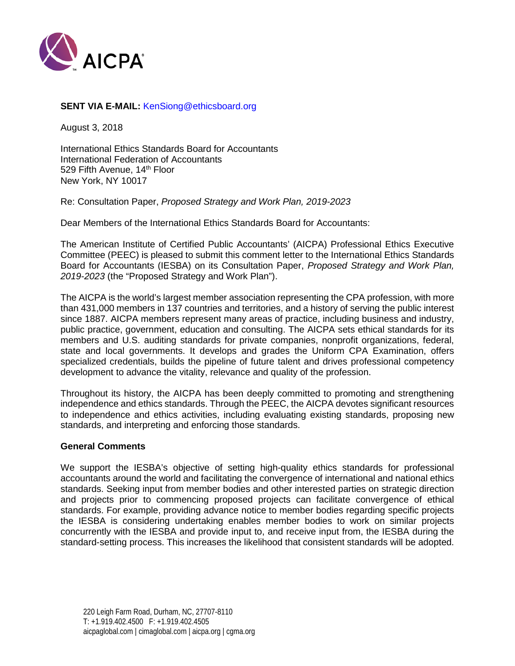

# **SENT VIA E-MAIL:** KenSiong@ethicsboard.org

August 3, 2018

International Ethics Standards Board for Accountants International Federation of Accountants 529 Fifth Avenue, 14<sup>th</sup> Floor New York, NY 10017

Re: Consultation Paper, *Proposed Strategy and Work Plan, 2019-2023*

Dear Members of the International Ethics Standards Board for Accountants:

The American Institute of Certified Public Accountants' (AICPA) Professional Ethics Executive Committee (PEEC) is pleased to submit this comment letter to the International Ethics Standards Board for Accountants (IESBA) on its Consultation Paper, *Proposed Strategy and Work Plan, 2019-2023* (the "Proposed Strategy and Work Plan").

The AICPA is the world's largest member association representing the CPA profession, with more than 431,000 members in 137 countries and territories, and a history of serving the public interest since 1887. AICPA members represent many areas of practice, including business and industry, public practice, government, education and consulting. The AICPA sets ethical standards for its members and U.S. auditing standards for private companies, nonprofit organizations, federal, state and local governments. It develops and grades the Uniform CPA Examination, offers specialized credentials, builds the pipeline of future talent and drives professional competency development to advance the vitality, relevance and quality of the profession.

Throughout its history, the AICPA has been deeply committed to promoting and strengthening independence and ethics standards. Through the PEEC, the AICPA devotes significant resources to independence and ethics activities, including evaluating existing standards, proposing new standards, and interpreting and enforcing those standards.

### **General Comments**

We support the IESBA's objective of setting high-quality ethics standards for professional accountants around the world and facilitating the convergence of international and national ethics standards. Seeking input from member bodies and other interested parties on strategic direction and projects prior to commencing proposed projects can facilitate convergence of ethical standards. For example, providing advance notice to member bodies regarding specific projects the IESBA is considering undertaking enables member bodies to work on similar projects concurrently with the IESBA and provide input to, and receive input from, the IESBA during the standard-setting process. This increases the likelihood that consistent standards will be adopted.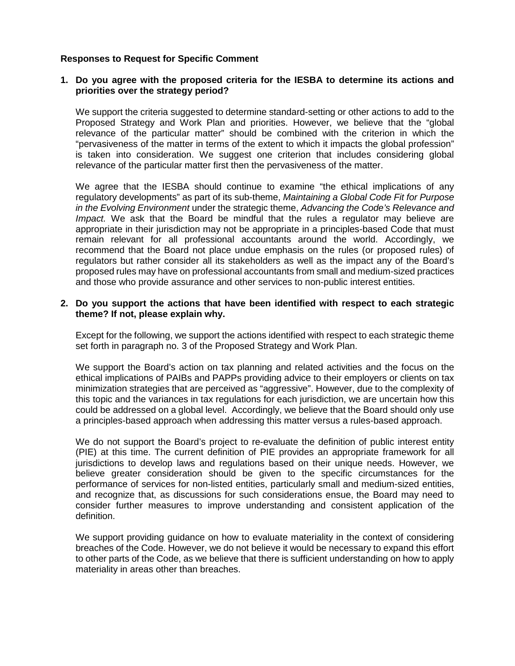## **Responses to Request for Specific Comment**

## **1. Do you agree with the proposed criteria for the IESBA to determine its actions and priorities over the strategy period?**

We support the criteria suggested to determine standard-setting or other actions to add to the Proposed Strategy and Work Plan and priorities. However, we believe that the "global relevance of the particular matter" should be combined with the criterion in which the "pervasiveness of the matter in terms of the extent to which it impacts the global profession" is taken into consideration. We suggest one criterion that includes considering global relevance of the particular matter first then the pervasiveness of the matter.

We agree that the IESBA should continue to examine "the ethical implications of any regulatory developments" as part of its sub-theme, *Maintaining a Global Code Fit for Purpose in the Evolving Environment* under the strategic theme, *Advancing the Code's Relevance and Impact.* We ask that the Board be mindful that the rules a regulator may believe are appropriate in their jurisdiction may not be appropriate in a principles-based Code that must remain relevant for all professional accountants around the world. Accordingly, we recommend that the Board not place undue emphasis on the rules (or proposed rules) of regulators but rather consider all its stakeholders as well as the impact any of the Board's proposed rules may have on professional accountants from small and medium-sized practices and those who provide assurance and other services to non-public interest entities.

## **2. Do you support the actions that have been identified with respect to each strategic theme? If not, please explain why.**

Except for the following, we support the actions identified with respect to each strategic theme set forth in paragraph no. 3 of the Proposed Strategy and Work Plan.

We support the Board's action on tax planning and related activities and the focus on the ethical implications of PAIBs and PAPPs providing advice to their employers or clients on tax minimization strategies that are perceived as "aggressive". However, due to the complexity of this topic and the variances in tax regulations for each jurisdiction, we are uncertain how this could be addressed on a global level. Accordingly, we believe that the Board should only use a principles-based approach when addressing this matter versus a rules-based approach.

We do not support the Board's project to re-evaluate the definition of public interest entity (PIE) at this time. The current definition of PIE provides an appropriate framework for all jurisdictions to develop laws and regulations based on their unique needs. However, we believe greater consideration should be given to the specific circumstances for the performance of services for non-listed entities, particularly small and medium-sized entities, and recognize that, as discussions for such considerations ensue, the Board may need to consider further measures to improve understanding and consistent application of the definition.

We support providing guidance on how to evaluate materiality in the context of considering breaches of the Code. However, we do not believe it would be necessary to expand this effort to other parts of the Code, as we believe that there is sufficient understanding on how to apply materiality in areas other than breaches.